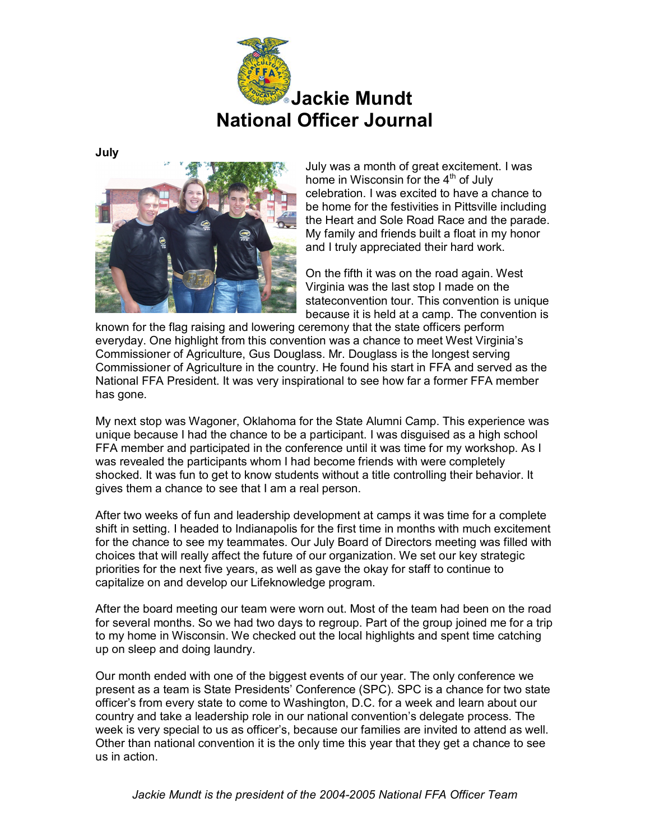

**July**



July was a month of great excitement. I was home in Wisconsin for the 4<sup>th</sup> of July celebration. I was excited to have a chance to be home for the festivities in Pittsville including the Heart and Sole Road Race and the parade. My family and friends built a float in my honor and I truly appreciated their hard work.

On the fifth it was on the road again. West Virginia was the last stop I made on the stateconvention tour. This convention is unique because it is held at a camp. The convention is

known for the flag raising and lowering ceremony that the state officers perform everyday. One highlight from this convention was a chance to meet West Virginia's Commissioner of Agriculture, Gus Douglass. Mr. Douglass is the longest serving Commissioner of Agriculture in the country. He found his start in FFA and served as the National FFA President. It was very inspirational to see how far a former FFA member has gone.

My next stop was Wagoner, Oklahoma for the State Alumni Camp. This experience was unique because I had the chance to be a participant. I was disguised as a high school FFA member and participated in the conference until it was time for my workshop. As I was revealed the participants whom I had become friends with were completely shocked. It was fun to get to know students without a title controlling their behavior. It gives them a chance to see that I am a real person.

After two weeks of fun and leadership development at camps it was time for a complete shift in setting. I headed to Indianapolis for the first time in months with much excitement for the chance to see my teammates. Our July Board of Directors meeting was filled with choices that will really affect the future of our organization. We set our key strategic priorities for the next five years, as well as gave the okay for staff to continue to capitalize on and develop our Lifeknowledge program.

After the board meeting our team were worn out. Most of the team had been on the road for several months. So we had two days to regroup. Part of the group joined me for a trip to my home in Wisconsin. We checked out the local highlights and spent time catching up on sleep and doing laundry.

Our month ended with one of the biggest events of our year. The only conference we present as a team is State Presidents' Conference (SPC). SPC is a chance for two state officer's from every state to come to Washington, D.C. for a week and learn about our country and take a leadership role in our national convention's delegate process. The week is very special to us as officer's, because our families are invited to attend as well. Other than national convention it is the only time this year that they get a chance to see us in action.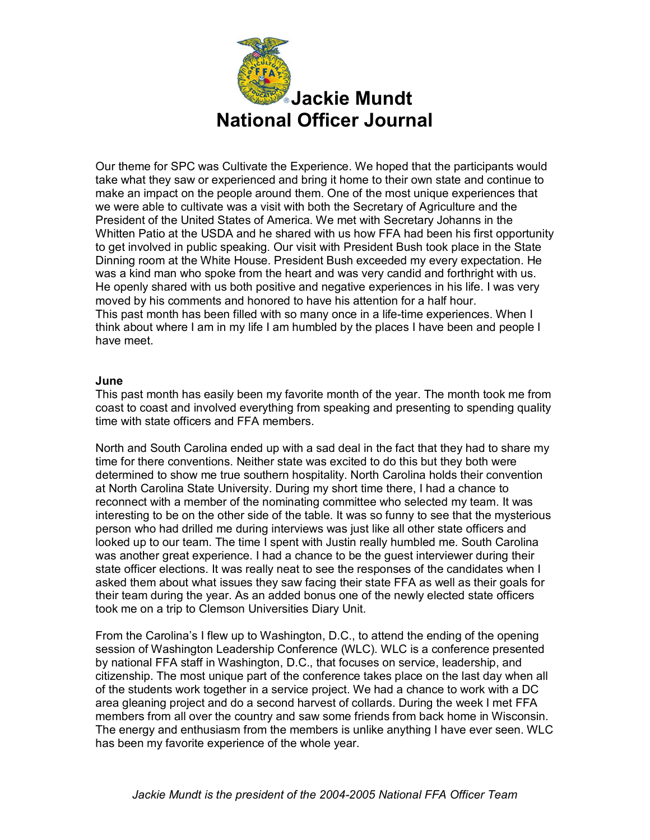

Our theme for SPC was Cultivate the Experience. We hoped that the participants would take what they saw or experienced and bring it home to their own state and continue to make an impact on the people around them. One of the most unique experiences that we were able to cultivate was a visit with both the Secretary of Agriculture and the President of the United States of America. We met with Secretary Johanns in the Whitten Patio at the USDA and he shared with us how FFA had been his first opportunity to get involved in public speaking. Our visit with President Bush took place in the State Dinning room at the White House. President Bush exceeded my every expectation. He was a kind man who spoke from the heart and was very candid and forthright with us. He openly shared with us both positive and negative experiences in his life. I was very moved by his comments and honored to have his attention for a half hour. This past month has been filled with so many once in a life-time experiences. When I think about where I am in my life I am humbled by the places I have been and people I have meet.

### **June**

This past month has easily been my favorite month of the year. The month took me from coast to coast and involved everything from speaking and presenting to spending quality time with state officers and FFA members.

North and South Carolina ended up with a sad deal in the fact that they had to share my time for there conventions. Neither state was excited to do this but they both were determined to show me true southern hospitality. North Carolina holds their convention at North Carolina State University. During my short time there, I had a chance to reconnect with a member of the nominating committee who selected my team. It was interesting to be on the other side of the table. It was so funny to see that the mysterious person who had drilled me during interviews was just like all other state officers and looked up to our team. The time I spent with Justin really humbled me. South Carolina was another great experience. I had a chance to be the guest interviewer during their state officer elections. It was really neat to see the responses of the candidates when I asked them about what issues they saw facing their state FFA as well as their goals for their team during the year. As an added bonus one of the newly elected state officers took me on a trip to Clemson Universities Diary Unit.

From the Carolina's I flew up to Washington, D.C., to attend the ending of the opening session of Washington Leadership Conference (WLC). WLC is a conference presented by national FFA staff in Washington, D.C., that focuses on service, leadership, and citizenship. The most unique part of the conference takes place on the last day when all of the students work together in a service project. We had a chance to work with a DC area gleaning project and do a second harvest of collards. During the week I met FFA members from all over the country and saw some friends from back home in Wisconsin. The energy and enthusiasm from the members is unlike anything I have ever seen. WLC has been my favorite experience of the whole year.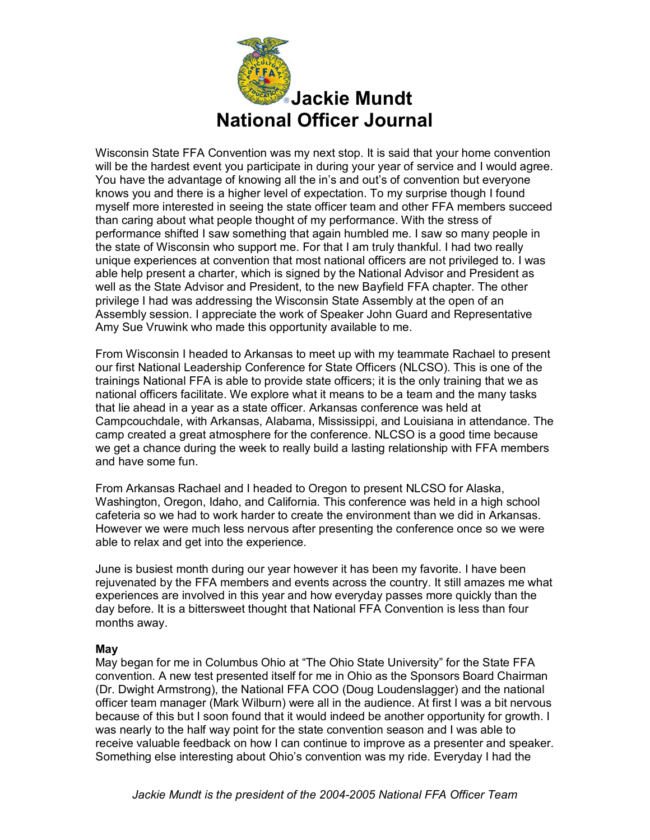

Wisconsin State FFA Convention was my next stop. It is said that your home convention will be the hardest event you participate in during your year of service and I would agree. You have the advantage of knowing all the in's and out's of convention but everyone knows you and there is a higher level of expectation. To my surprise though I found myself more interested in seeing the state officer team and other FFA members succeed than caring about what people thought of my performance. With the stress of performance shifted I saw something that again humbled me. I saw so many people in the state of Wisconsin who support me. For that I am truly thankful. I had two really unique experiences at convention that most national officers are not privileged to. I was able help present a charter, which is signed by the National Advisor and President as well as the State Advisor and President, to the new Bayfield FFA chapter. The other privilege I had was addressing the Wisconsin State Assembly at the open of an Assembly session. I appreciate the work of Speaker John Guard and Representative Amy Sue Vruwink who made this opportunity available to me.

From Wisconsin I headed to Arkansas to meet up with my teammate Rachael to present our first National Leadership Conference for State Officers (NLCSO). This is one of the trainings National FFA is able to provide state officers; it is the only training that we as national officers facilitate. We explore what it means to be a team and the many tasks that lie ahead in a year as a state officer. Arkansas conference was held at Campcouchdale, with Arkansas, Alabama, Mississippi, and Louisiana in attendance. The camp created a great atmosphere for the conference. NLCSO is a good time because we get a chance during the week to really build a lasting relationship with FFA members and have some fun.

From Arkansas Rachael and I headed to Oregon to present NLCSO for Alaska, Washington, Oregon, Idaho, and California. This conference was held in a high school cafeteria so we had to work harder to create the environment than we did in Arkansas. However we were much less nervous after presenting the conference once so we were able to relax and get into the experience.

June is busiest month during our year however it has been my favorite. I have been rejuvenated by the FFA members and events across the country. It still amazes me what experiences are involved in this year and how everyday passes more quickly than the day before. It is a bittersweet thought that National FFA Convention is less than four months away.

#### **May**

May began for me in Columbus Ohio at "The Ohio State University" for the State FFA convention. A new test presented itself for me in Ohio as the Sponsors Board Chairman (Dr. Dwight Armstrong), the National FFA COO (Doug Loudenslagger) and the national officer team manager (Mark Wilburn) were all in the audience. At first I was a bit nervous because of this but I soon found that it would indeed be another opportunity for growth. I was nearly to the half way point for the state convention season and I was able to receive valuable feedback on how I can continue to improve as a presenter and speaker. Something else interesting about Ohio's convention was my ride. Everyday I had the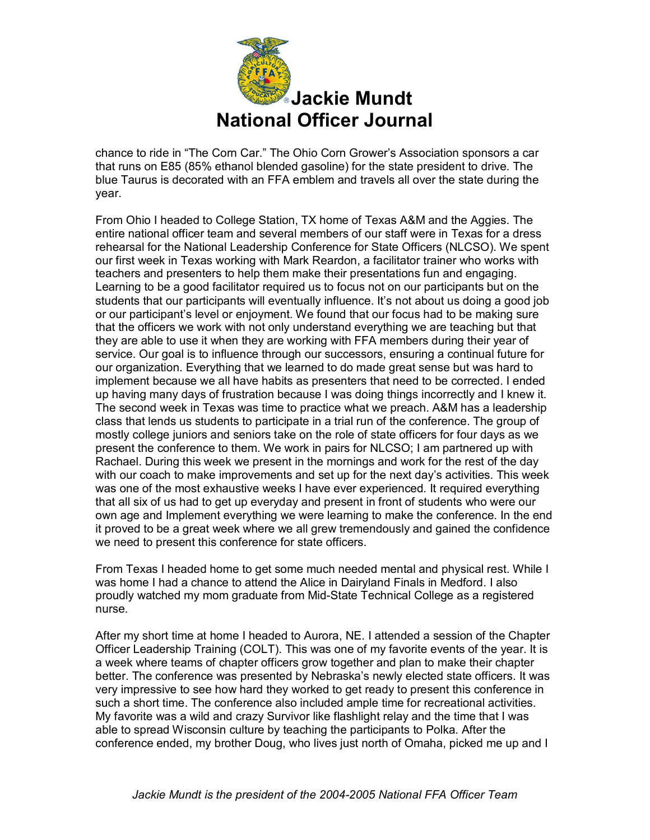

chance to ride in "The Corn Car." The Ohio Corn Grower's Association sponsors a car that runs on E85 (85% ethanol blended gasoline) for the state president to drive. The blue Taurus is decorated with an FFA emblem and travels all over the state during the year.

From Ohio I headed to College Station, TX home of Texas A&M and the Aggies. The entire national officer team and several members of our staff were in Texas for a dress rehearsal for the National Leadership Conference for State Officers (NLCSO). We spent our first week in Texas working with Mark Reardon, a facilitator trainer who works with teachers and presenters to help them make their presentations fun and engaging. Learning to be a good facilitator required us to focus not on our participants but on the students that our participants will eventually influence. It's not about us doing a good job or our participant's level or enjoyment. We found that our focus had to be making sure that the officers we work with not only understand everything we are teaching but that they are able to use it when they are working with FFA members during their year of service. Our goal is to influence through our successors, ensuring a continual future for our organization. Everything that we learned to do made great sense but was hard to implement because we all have habits as presenters that need to be corrected. I ended up having many days of frustration because I was doing things incorrectly and I knew it. The second week in Texas was time to practice what we preach. A&M has a leadership class that lends us students to participate in a trial run of the conference. The group of mostly college juniors and seniors take on the role of state officers for four days as we present the conference to them. We work in pairs for NLCSO; I am partnered up with Rachael. During this week we present in the mornings and work for the rest of the day with our coach to make improvements and set up for the next day's activities. This week was one of the most exhaustive weeks I have ever experienced. It required everything that all six of us had to get up everyday and present in front of students who were our own age and Implement everything we were learning to make the conference. In the end it proved to be a great week where we all grew tremendously and gained the confidence we need to present this conference for state officers.

From Texas I headed home to get some much needed mental and physical rest. While I was home I had a chance to attend the Alice in Dairyland Finals in Medford. I also proudly watched my mom graduate from Mid-State Technical College as a registered nurse.

After my short time at home I headed to Aurora, NE. I attended a session of the Chapter Officer Leadership Training (COLT). This was one of my favorite events of the year. It is a week where teams of chapter officers grow together and plan to make their chapter better. The conference was presented by Nebraska's newly elected state officers. It was very impressive to see how hard they worked to get ready to present this conference in such a short time. The conference also included ample time for recreational activities. My favorite was a wild and crazy Survivor like flashlight relay and the time that I was able to spread Wisconsin culture by teaching the participants to Polka. After the conference ended, my brother Doug, who lives just north of Omaha, picked me up and I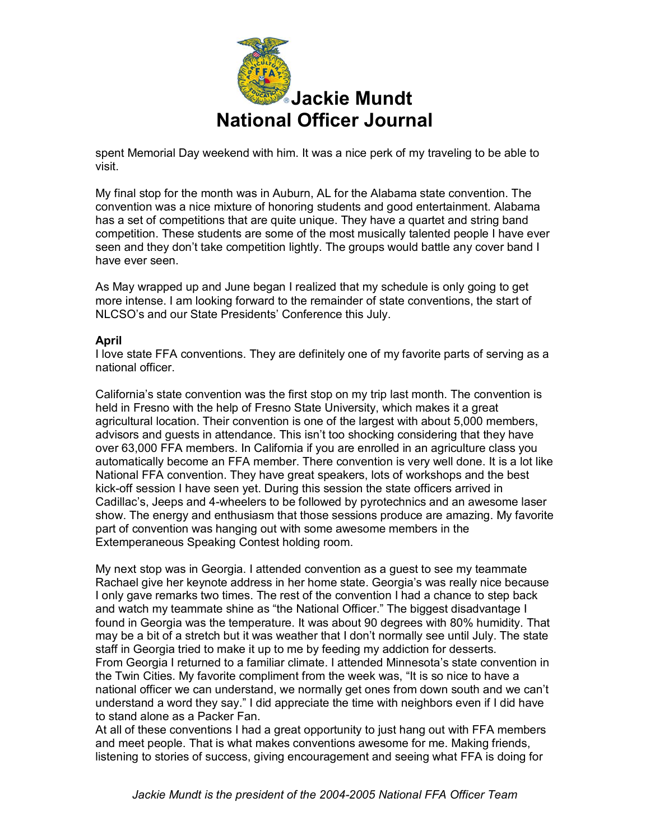

spent Memorial Day weekend with him. It was a nice perk of my traveling to be able to visit.

My final stop for the month was in Auburn, AL for the Alabama state convention. The convention was a nice mixture of honoring students and good entertainment. Alabama has a set of competitions that are quite unique. They have a quartet and string band competition. These students are some of the most musically talented people I have ever seen and they don't take competition lightly. The groups would battle any cover band I have ever seen.

As May wrapped up and June began I realized that my schedule is only going to get more intense. I am looking forward to the remainder of state conventions, the start of NLCSO's and our State Presidents' Conference this July.

### **April**

I love state FFA conventions. They are definitely one of my favorite parts of serving as a national officer.

California's state convention was the first stop on my trip last month. The convention is held in Fresno with the help of Fresno State University, which makes it a great agricultural location. Their convention is one of the largest with about 5,000 members, advisors and guests in attendance. This isn't too shocking considering that they have over 63,000 FFA members. In California if you are enrolled in an agriculture class you automatically become an FFA member. There convention is very well done. It is a lot like National FFA convention. They have great speakers, lots of workshops and the best kick-off session I have seen yet. During this session the state officers arrived in Cadillac's, Jeeps and 4-wheelers to be followed by pyrotechnics and an awesome laser show. The energy and enthusiasm that those sessions produce are amazing. My favorite part of convention was hanging out with some awesome members in the Extemperaneous Speaking Contest holding room.

My next stop was in Georgia. I attended convention as a guest to see my teammate Rachael give her keynote address in her home state. Georgia's was really nice because I only gave remarks two times. The rest of the convention I had a chance to step back and watch my teammate shine as "the National Officer." The biggest disadvantage I found in Georgia was the temperature. It was about 90 degrees with 80% humidity. That may be a bit of a stretch but it was weather that I don't normally see until July. The state staff in Georgia tried to make it up to me by feeding my addiction for desserts. From Georgia I returned to a familiar climate. I attended Minnesota's state convention in the Twin Cities. My favorite compliment from the week was, "It is so nice to have a national officer we can understand, we normally get ones from down south and we can't understand a word they say." I did appreciate the time with neighbors even if I did have to stand alone as a Packer Fan.

At all of these conventions I had a great opportunity to just hang out with FFA members and meet people. That is what makes conventions awesome for me. Making friends, listening to stories of success, giving encouragement and seeing what FFA is doing for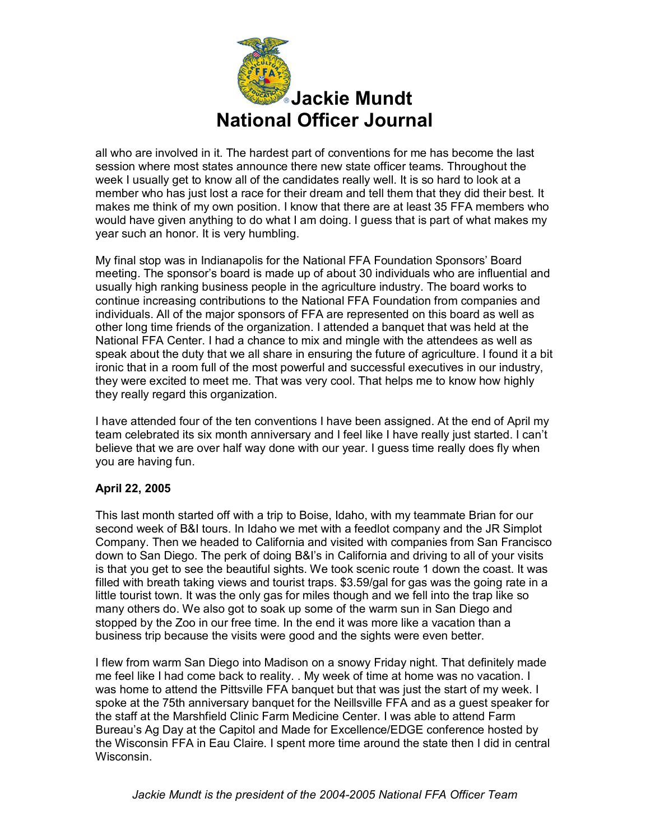

all who are involved in it. The hardest part of conventions for me has become the last session where most states announce there new state officer teams. Throughout the week I usually get to know all of the candidates really well. It is so hard to look at a member who has just lost a race for their dream and tell them that they did their best. It makes me think of my own position. I know that there are at least 35 FFA members who would have given anything to do what I am doing. I guess that is part of what makes my year such an honor. It is very humbling.

My final stop was in Indianapolis for the National FFA Foundation Sponsors' Board meeting. The sponsor's board is made up of about 30 individuals who are influential and usually high ranking business people in the agriculture industry. The board works to continue increasing contributions to the National FFA Foundation from companies and individuals. All of the major sponsors of FFA are represented on this board as well as other long time friends of the organization. I attended a banquet that was held at the National FFA Center. I had a chance to mix and mingle with the attendees as well as speak about the duty that we all share in ensuring the future of agriculture. I found it a bit ironic that in a room full of the most powerful and successful executives in our industry, they were excited to meet me. That was very cool. That helps me to know how highly they really regard this organization.

I have attended four of the ten conventions I have been assigned. At the end of April my team celebrated its six month anniversary and I feel like I have really just started. I can't believe that we are over half way done with our year. I guess time really does fly when you are having fun.

# **April 22, 2005**

This last month started off with a trip to Boise, Idaho, with my teammate Brian for our second week of B&I tours. In Idaho we met with a feedlot company and the JR Simplot Company. Then we headed to California and visited with companies from San Francisco down to San Diego. The perk of doing B&I's in California and driving to all of your visits is that you get to see the beautiful sights. We took scenic route 1 down the coast. It was filled with breath taking views and tourist traps. \$3.59/gal for gas was the going rate in a little tourist town. It was the only gas for miles though and we fell into the trap like so many others do. We also got to soak up some of the warm sun in San Diego and stopped by the Zoo in our free time. In the end it was more like a vacation than a business trip because the visits were good and the sights were even better.

I flew from warm San Diego into Madison on a snowy Friday night. That definitely made me feel like I had come back to reality. . My week of time at home was no vacation. I was home to attend the Pittsville FFA banquet but that was just the start of my week. I spoke at the 75th anniversary banquet for the Neillsville FFA and as a guest speaker for the staff at the Marshfield Clinic Farm Medicine Center. I was able to attend Farm Bureau's Ag Day at the Capitol and Made for Excellence/EDGE conference hosted by the Wisconsin FFA in Eau Claire. I spent more time around the state then I did in central Wisconsin.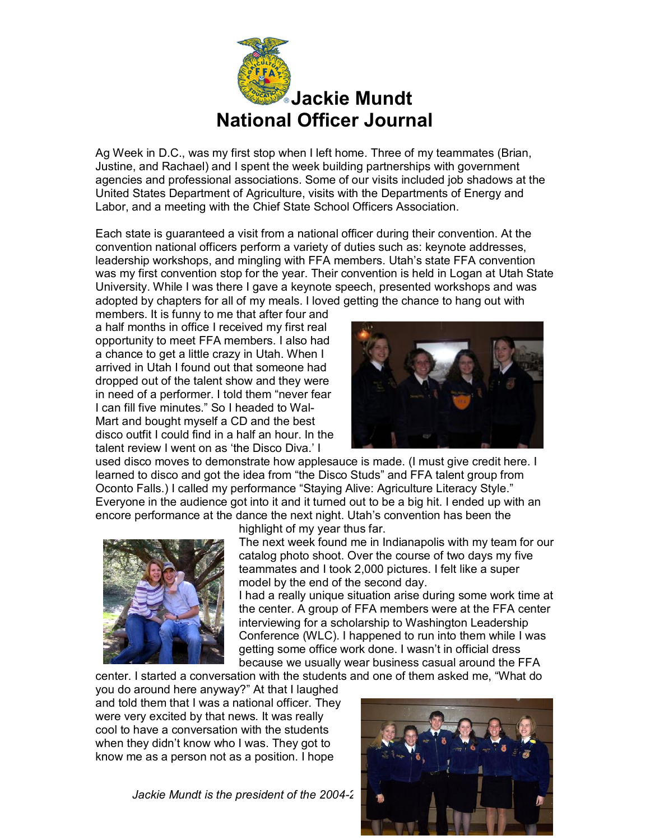

Ag Week in D.C., was my first stop when I left home. Three of my teammates (Brian, Justine, and Rachael) and I spent the week building partnerships with government agencies and professional associations. Some of our visits included job shadows at the United States Department of Agriculture, visits with the Departments of Energy and Labor, and a meeting with the Chief State School Officers Association.

Each state is guaranteed a visit from a national officer during their convention. At the convention national officers perform a variety of duties such as: keynote addresses, leadership workshops, and mingling with FFA members. Utah's state FFA convention was my first convention stop for the year. Their convention is held in Logan at Utah State University. While I was there I gave a keynote speech, presented workshops and was adopted by chapters for all of my meals. I loved getting the chance to hang out with

members. It is funny to me that after four and a half months in office I received my first real opportunity to meet FFA members. I also had a chance to get a little crazy in Utah. When I arrived in Utah I found out that someone had dropped out of the talent show and they were in need of a performer. I told them "never fear I can fill five minutes." So I headed to Wal-Mart and bought myself a CD and the best disco outfit I could find in a half an hour. In the talent review I went on as 'the Disco Diva.' I



used disco moves to demonstrate how applesauce is made. (I must give credit here. I learned to disco and got the idea from "the Disco Studs" and FFA talent group from Oconto Falls.) I called my performance "Staying Alive: Agriculture Literacy Style." Everyone in the audience got into it and it turned out to be a big hit. I ended up with an encore performance at the dance the next night. Utah's convention has been the



highlight of my year thus far.

The next week found me in Indianapolis with my team for our catalog photo shoot. Over the course of two days my five teammates and I took 2,000 pictures. I felt like a super model by the end of the second day.

I had a really unique situation arise during some work time at the center. A group of FFA members were at the FFA center interviewing for a scholarship to Washington Leadership Conference (WLC). I happened to run into them while I was getting some office work done. I wasn't in official dress because we usually wear business casual around the FFA

center. I started a conversation with the students and one of them asked me, "What do

you do around here anyway?" At that I laughed and told them that I was a national officer. They were very excited by that news. It was really cool to have a conversation with the students when they didn't know who I was. They got to know me as a person not as a position. I hope

*Jackie Mundt is the president of the 2004-2* 

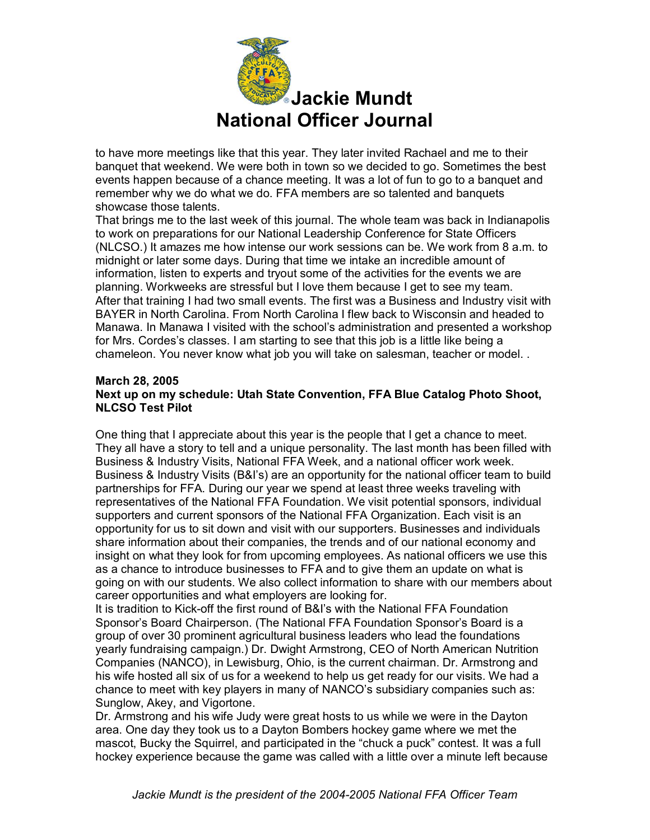

to have more meetings like that this year. They later invited Rachael and me to their banquet that weekend. We were both in town so we decided to go. Sometimes the best events happen because of a chance meeting. It was a lot of fun to go to a banquet and remember why we do what we do. FFA members are so talented and banquets showcase those talents.

That brings me to the last week of this journal. The whole team was back in Indianapolis to work on preparations for our National Leadership Conference for State Officers (NLCSO.) It amazes me how intense our work sessions can be. We work from 8 a.m. to midnight or later some days. During that time we intake an incredible amount of information, listen to experts and tryout some of the activities for the events we are planning. Workweeks are stressful but I love them because I get to see my team. After that training I had two small events. The first was a Business and Industry visit with BAYER in North Carolina. From North Carolina I flew back to Wisconsin and headed to Manawa. In Manawa I visited with the school's administration and presented a workshop for Mrs. Cordes's classes. I am starting to see that this job is a little like being a chameleon. You never know what job you will take on salesman, teacher or model. .

#### **March 28, 2005 Next up on my schedule: Utah State Convention, FFA Blue Catalog Photo Shoot, NLCSO Test Pilot**

One thing that I appreciate about this year is the people that I get a chance to meet. They all have a story to tell and a unique personality. The last month has been filled with Business & Industry Visits, National FFA Week, and a national officer work week. Business & Industry Visits (B&I's) are an opportunity for the national officer team to build partnerships for FFA. During our year we spend at least three weeks traveling with representatives of the National FFA Foundation. We visit potential sponsors, individual supporters and current sponsors of the National FFA Organization. Each visit is an opportunity for us to sit down and visit with our supporters. Businesses and individuals share information about their companies, the trends and of our national economy and insight on what they look for from upcoming employees. As national officers we use this as a chance to introduce businesses to FFA and to give them an update on what is going on with our students. We also collect information to share with our members about career opportunities and what employers are looking for.

It is tradition to Kick-off the first round of B&I's with the National FFA Foundation Sponsor's Board Chairperson. (The National FFA Foundation Sponsor's Board is a group of over 30 prominent agricultural business leaders who lead the foundations yearly fundraising campaign.) Dr. Dwight Armstrong, CEO of North American Nutrition Companies (NANCO), in Lewisburg, Ohio, is the current chairman. Dr. Armstrong and his wife hosted all six of us for a weekend to help us get ready for our visits. We had a chance to meet with key players in many of NANCO's subsidiary companies such as: Sunglow, Akey, and Vigortone.

Dr. Armstrong and his wife Judy were great hosts to us while we were in the Dayton area. One day they took us to a Dayton Bombers hockey game where we met the mascot, Bucky the Squirrel, and participated in the "chuck a puck" contest. It was a full hockey experience because the game was called with a little over a minute left because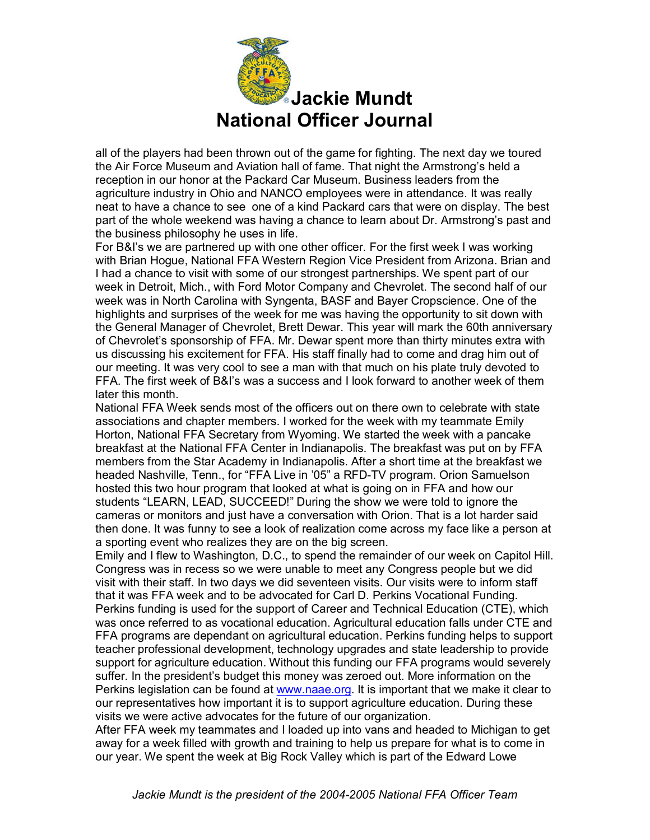

all of the players had been thrown out of the game for fighting. The next day we toured the Air Force Museum and Aviation hall of fame. That night the Armstrong's held a reception in our honor at the Packard Car Museum. Business leaders from the agriculture industry in Ohio and NANCO employees were in attendance. It was really neat to have a chance to see one of a kind Packard cars that were on display. The best part of the whole weekend was having a chance to learn about Dr. Armstrong's past and the business philosophy he uses in life.

For B&I's we are partnered up with one other officer. For the first week I was working with Brian Hogue, National FFA Western Region Vice President from Arizona. Brian and I had a chance to visit with some of our strongest partnerships. We spent part of our week in Detroit, Mich., with Ford Motor Company and Chevrolet. The second half of our week was in North Carolina with Syngenta, BASF and Bayer Cropscience. One of the highlights and surprises of the week for me was having the opportunity to sit down with the General Manager of Chevrolet, Brett Dewar. This year will mark the 60th anniversary of Chevrolet's sponsorship of FFA. Mr. Dewar spent more than thirty minutes extra with us discussing his excitement for FFA. His staff finally had to come and drag him out of our meeting. It was very cool to see a man with that much on his plate truly devoted to FFA. The first week of B&I's was a success and I look forward to another week of them later this month.

National FFA Week sends most of the officers out on there own to celebrate with state associations and chapter members. I worked for the week with my teammate Emily Horton, National FFA Secretary from Wyoming. We started the week with a pancake breakfast at the National FFA Center in Indianapolis. The breakfast was put on by FFA members from the Star Academy in Indianapolis. After a short time at the breakfast we headed Nashville, Tenn., for "FFA Live in '05" a RFD-TV program. Orion Samuelson hosted this two hour program that looked at what is going on in FFA and how our students "LEARN, LEAD, SUCCEED!" During the show we were told to ignore the cameras or monitors and just have a conversation with Orion. That is a lot harder said then done. It was funny to see a look of realization come across my face like a person at a sporting event who realizes they are on the big screen.

Emily and I flew to Washington, D.C., to spend the remainder of our week on Capitol Hill. Congress was in recess so we were unable to meet any Congress people but we did visit with their staff. In two days we did seventeen visits. Our visits were to inform staff that it was FFA week and to be advocated for Carl D. Perkins Vocational Funding. Perkins funding is used for the support of Career and Technical Education (CTE), which was once referred to as vocational education. Agricultural education falls under CTE and FFA programs are dependant on agricultural education. Perkins funding helps to support teacher professional development, technology upgrades and state leadership to provide support for agriculture education. Without this funding our FFA programs would severely suffer. In the president's budget this money was zeroed out. More information on the Perkins legislation can be found at [www.naae.org.](http://www.naae.org/) It is important that we make it clear to our representatives how important it is to support agriculture education. During these visits we were active advocates for the future of our organization.

After FFA week my teammates and I loaded up into vans and headed to Michigan to get away for a week filled with growth and training to help us prepare for what is to come in our year. We spent the week at Big Rock Valley which is part of the Edward Lowe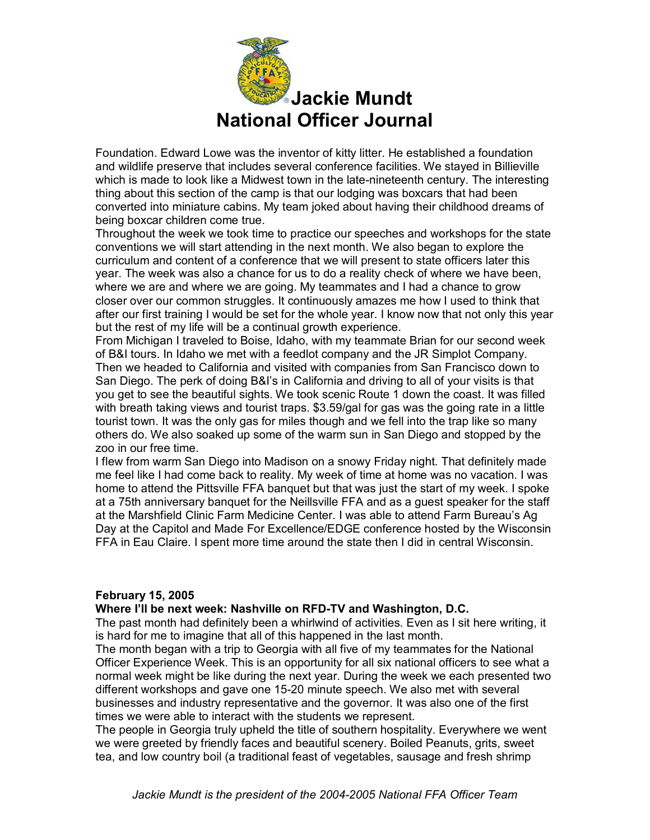

Foundation. Edward Lowe was the inventor of kitty litter. He established a foundation and wildlife preserve that includes several conference facilities. We stayed in Billieville which is made to look like a Midwest town in the late-nineteenth century. The interesting thing about this section of the camp is that our lodging was boxcars that had been converted into miniature cabins. My team joked about having their childhood dreams of being boxcar children come true.

Throughout the week we took time to practice our speeches and workshops for the state conventions we will start attending in the next month. We also began to explore the curriculum and content of a conference that we will present to state officers later this year. The week was also a chance for us to do a reality check of where we have been, where we are and where we are going. My teammates and I had a chance to grow closer over our common struggles. It continuously amazes me how I used to think that after our first training I would be set for the whole year. I know now that not only this year but the rest of my life will be a continual growth experience.

From Michigan I traveled to Boise, Idaho, with my teammate Brian for our second week of B&I tours. In Idaho we met with a feedlot company and the JR Simplot Company. Then we headed to California and visited with companies from San Francisco down to San Diego. The perk of doing B&I's in California and driving to all of your visits is that you get to see the beautiful sights. We took scenic Route 1 down the coast. It was filled with breath taking views and tourist traps. \$3.59/gal for gas was the going rate in a little tourist town. It was the only gas for miles though and we fell into the trap like so many others do. We also soaked up some of the warm sun in San Diego and stopped by the zoo in our free time.

I flew from warm San Diego into Madison on a snowy Friday night. That definitely made me feel like I had come back to reality. My week of time at home was no vacation. I was home to attend the Pittsville FFA banquet but that was just the start of my week. I spoke at a 75th anniversary banquet for the Neillsville FFA and as a guest speaker for the staff at the Marshfield Clinic Farm Medicine Center. I was able to attend Farm Bureau's Ag Day at the Capitol and Made For Excellence/EDGE conference hosted by the Wisconsin FFA in Eau Claire. I spent more time around the state then I did in central Wisconsin.

# **February 15, 2005**

#### **Where I'll be next week: Nashville on RFDTV and Washington, D.C.**

The past month had definitely been a whirlwind of activities. Even as I sit here writing, it is hard for me to imagine that all of this happened in the last month.

The month began with a trip to Georgia with all five of my teammates for the National Officer Experience Week. This is an opportunity for all six national officers to see what a normal week might be like during the next year. During the week we each presented two different workshops and gave one 1520 minute speech. We also met with several businesses and industry representative and the governor. It was also one of the first times we were able to interact with the students we represent.

The people in Georgia truly upheld the title of southern hospitality. Everywhere we went we were greeted by friendly faces and beautiful scenery. Boiled Peanuts, grits, sweet tea, and low country boil (a traditional feast of vegetables, sausage and fresh shrimp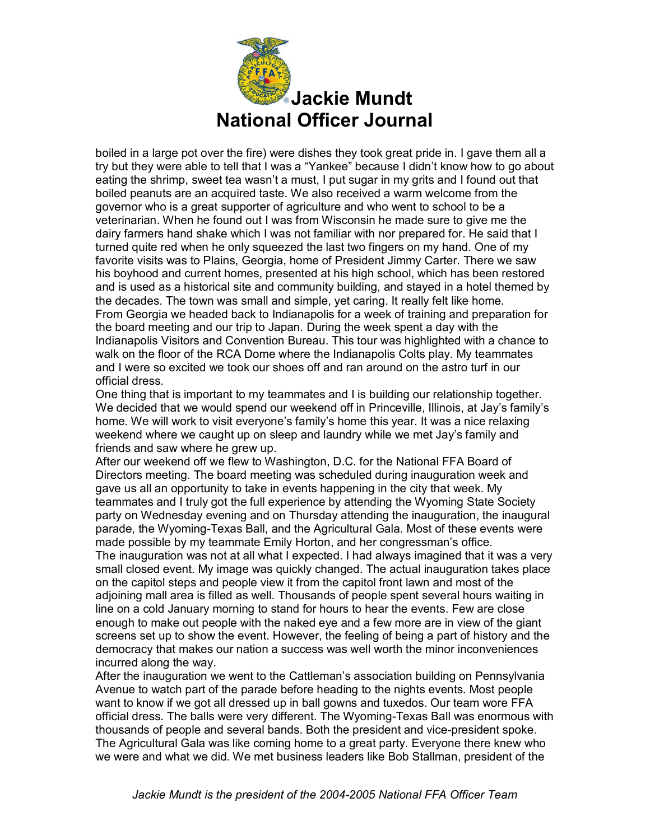

boiled in a large pot over the fire) were dishes they took great pride in. I gave them all a try but they were able to tell that I was a "Yankee" because I didn't know how to go about eating the shrimp, sweet tea wasn't a must, I put sugar in my grits and I found out that boiled peanuts are an acquired taste. We also received a warm welcome from the governor who is a great supporter of agriculture and who went to school to be a veterinarian. When he found out I was from Wisconsin he made sure to give me the dairy farmers hand shake which I was not familiar with nor prepared for. He said that I turned quite red when he only squeezed the last two fingers on my hand. One of my favorite visits was to Plains, Georgia, home of President Jimmy Carter. There we saw his boyhood and current homes, presented at his high school, which has been restored and is used as a historical site and community building, and stayed in a hotel themed by the decades. The town was small and simple, yet caring. It really felt like home. From Georgia we headed back to Indianapolis for a week of training and preparation for the board meeting and our trip to Japan. During the week spent a day with the Indianapolis Visitors and Convention Bureau. This tour was highlighted with a chance to walk on the floor of the RCA Dome where the Indianapolis Colts play. My teammates and I were so excited we took our shoes off and ran around on the astro turf in our official dress.

One thing that is important to my teammates and I is building our relationship together. We decided that we would spend our weekend off in Princeville, Illinois, at Jay's family's home. We will work to visit everyone's family's home this year. It was a nice relaxing weekend where we caught up on sleep and laundry while we met Jay's family and friends and saw where he grew up.

After our weekend off we flew to Washington, D.C. for the National FFA Board of Directors meeting. The board meeting was scheduled during inauguration week and gave us all an opportunity to take in events happening in the city that week. My teammates and I truly got the full experience by attending the Wyoming State Society party on Wednesday evening and on Thursday attending the inauguration, the inaugural parade, the Wyoming-Texas Ball, and the Agricultural Gala. Most of these events were made possible by my teammate Emily Horton, and her congressman's office. The inauguration was not at all what I expected. I had always imagined that it was a very small closed event. My image was quickly changed. The actual inauguration takes place on the capitol steps and people view it from the capitol front lawn and most of the adjoining mall area is filled as well. Thousands of people spent several hours waiting in line on a cold January morning to stand for hours to hear the events. Few are close enough to make out people with the naked eye and a few more are in view of the giant screens set up to show the event. However, the feeling of being a part of history and the democracy that makes our nation a success was well worth the minor inconveniences incurred along the way.

After the inauguration we went to the Cattleman's association building on Pennsylvania Avenue to watch part of the parade before heading to the nights events. Most people want to know if we got all dressed up in ball gowns and tuxedos. Our team wore FFA official dress. The balls were very different. The Wyoming-Texas Ball was enormous with thousands of people and several bands. Both the president and vice-president spoke. The Agricultural Gala was like coming home to a great party. Everyone there knew who we were and what we did. We met business leaders like Bob Stallman, president of the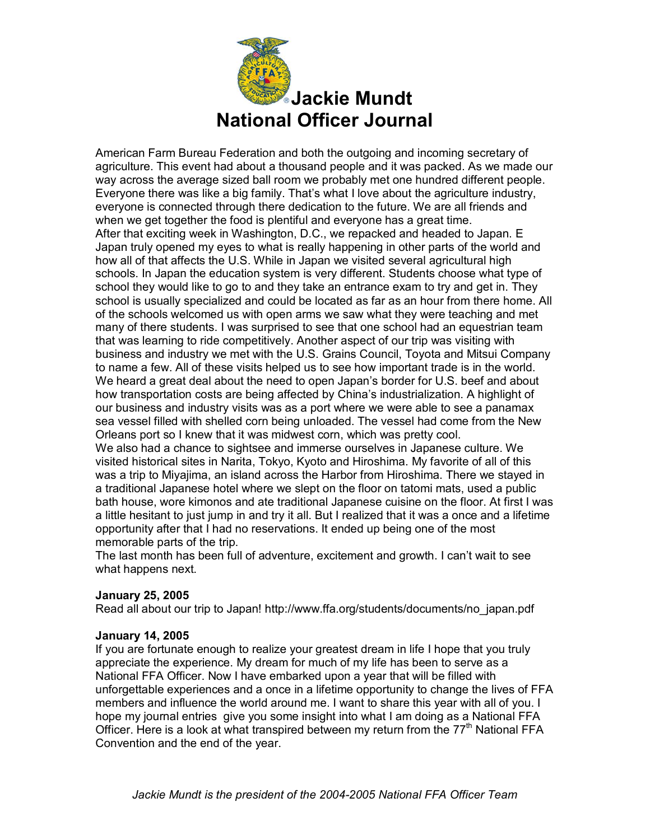

American Farm Bureau Federation and both the outgoing and incoming secretary of agriculture. This event had about a thousand people and it was packed. As we made our way across the average sized ball room we probably met one hundred different people. Everyone there was like a big family. That's what I love about the agriculture industry, everyone is connected through there dedication to the future. We are all friends and when we get together the food is plentiful and everyone has a great time. After that exciting week in Washington, D.C., we repacked and headed to Japan. E Japan truly opened my eyes to what is really happening in other parts of the world and how all of that affects the U.S. While in Japan we visited several agricultural high schools. In Japan the education system is very different. Students choose what type of school they would like to go to and they take an entrance exam to try and get in. They school is usually specialized and could be located as far as an hour from there home. All of the schools welcomed us with open arms we saw what they were teaching and met many of there students. I was surprised to see that one school had an equestrian team that was learning to ride competitively. Another aspect of our trip was visiting with business and industry we met with the U.S. Grains Council, Toyota and Mitsui Company to name a few. All of these visits helped us to see how important trade is in the world. We heard a great deal about the need to open Japan's border for U.S. beef and about how transportation costs are being affected by China's industrialization. A highlight of our business and industry visits was as a port where we were able to see a panamax sea vessel filled with shelled corn being unloaded. The vessel had come from the New Orleans port so I knew that it was midwest corn, which was pretty cool. We also had a chance to sightsee and immerse ourselves in Japanese culture. We visited historical sites in Narita, Tokyo, Kyoto and Hiroshima. My favorite of all of this was a trip to Miyajima, an island across the Harbor from Hiroshima. There we stayed in a traditional Japanese hotel where we slept on the floor on tatomi mats, used a public bath house, wore kimonos and ate traditional Japanese cuisine on the floor. At first I was a little hesitant to just jump in and try it all. But I realized that it was a once and a lifetime opportunity after that I had no reservations. It ended up being one of the most memorable parts of the trip.

The last month has been full of adventure, excitement and growth. I can't wait to see what happens next.

# **January 25, 2005**

Read all about our trip to Japan! http://www.ffa.org/students/documents/no\_japan.pdf

# **January 14, 2005**

If you are fortunate enough to realize your greatest dream in life I hope that you truly appreciate the experience. My dream for much of my life has been to serve as a National FFA Officer. Now I have embarked upon a year that will be filled with unforgettable experiences and a once in a lifetime opportunity to change the lives of FFA members and influence the world around me. I want to share this year with all of you. I hope my journal entries give you some insight into what I am doing as a National FFA Officer. Here is a look at what transpired between my return from the 77<sup>th</sup> National FFA Convention and the end of the year.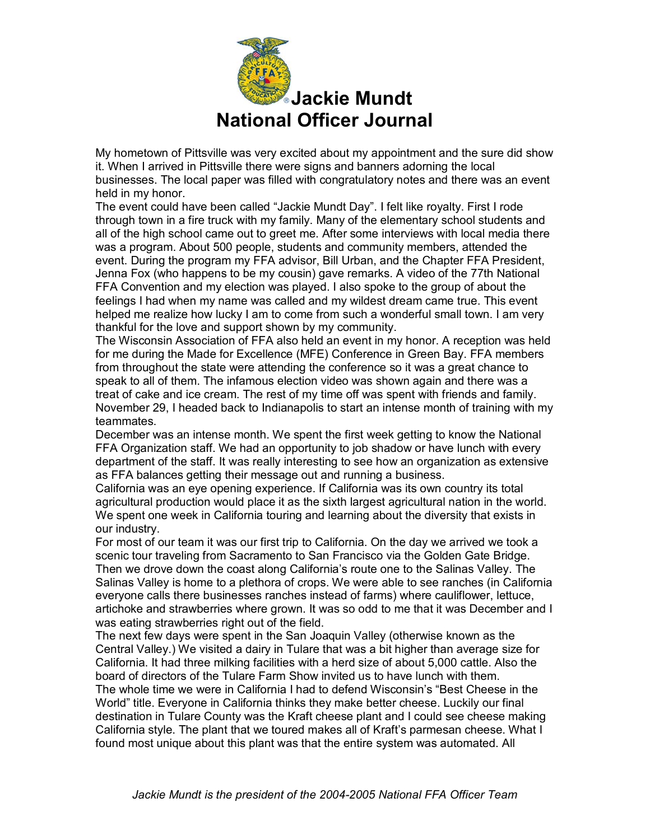

My hometown of Pittsville was very excited about my appointment and the sure did show it. When I arrived in Pittsville there were signs and banners adorning the local businesses. The local paper was filled with congratulatory notes and there was an event held in my honor.

The event could have been called "Jackie Mundt Day". I felt like royalty. First I rode through town in a fire truck with my family. Many of the elementary school students and all of the high school came out to greet me. After some interviews with local media there was a program. About 500 people, students and community members, attended the event. During the program my FFA advisor, Bill Urban, and the Chapter FFA President, Jenna Fox (who happens to be my cousin) gave remarks. A video of the 77th National FFA Convention and my election was played. I also spoke to the group of about the feelings I had when my name was called and my wildest dream came true. This event helped me realize how lucky I am to come from such a wonderful small town. I am very thankful for the love and support shown by my community.

The Wisconsin Association of FFA also held an event in my honor. A reception was held for me during the Made for Excellence (MFE) Conference in Green Bay. FFA members from throughout the state were attending the conference so it was a great chance to speak to all of them. The infamous election video was shown again and there was a treat of cake and ice cream. The rest of my time off was spent with friends and family. November 29, I headed back to Indianapolis to start an intense month of training with my teammates.

December was an intense month. We spent the first week getting to know the National FFA Organization staff. We had an opportunity to job shadow or have lunch with every department of the staff. It was really interesting to see how an organization as extensive as FFA balances getting their message out and running a business.

California was an eye opening experience. If California was its own country its total agricultural production would place it as the sixth largest agricultural nation in the world. We spent one week in California touring and learning about the diversity that exists in our industry.

For most of our team it was our first trip to California. On the day we arrived we took a scenic tour traveling from Sacramento to San Francisco via the Golden Gate Bridge. Then we drove down the coast along California's route one to the Salinas Valley. The Salinas Valley is home to a plethora of crops. We were able to see ranches (in California everyone calls there businesses ranches instead of farms) where cauliflower, lettuce, artichoke and strawberries where grown. It was so odd to me that it was December and I was eating strawberries right out of the field.

The next few days were spent in the San Joaquin Valley (otherwise known as the Central Valley.) We visited a dairy in Tulare that was a bit higher than average size for California. It had three milking facilities with a herd size of about 5,000 cattle. Also the board of directors of the Tulare Farm Show invited us to have lunch with them.

The whole time we were in California I had to defend Wisconsin's "Best Cheese in the World" title. Everyone in California thinks they make better cheese. Luckily our final destination in Tulare County was the Kraft cheese plant and I could see cheese making California style. The plant that we toured makes all of Kraft's parmesan cheese. What I found most unique about this plant was that the entire system was automated. All